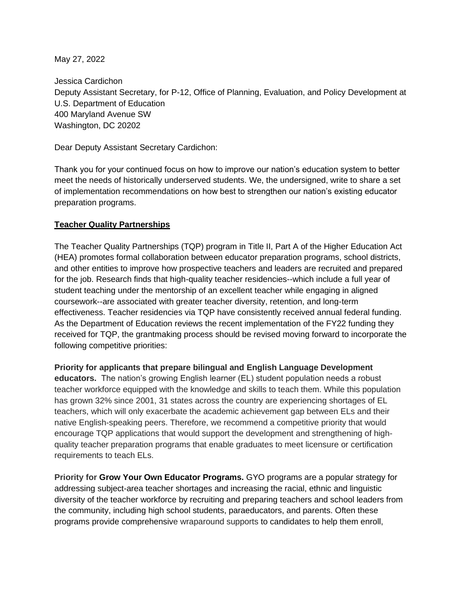May 27, 2022

Jessica Cardichon Deputy Assistant Secretary, for P-12, Office of Planning, Evaluation, and Policy Development at U.S. Department of Education 400 Maryland Avenue SW Washington, DC 20202

Dear Deputy Assistant Secretary Cardichon:

Thank you for your continued focus on how to improve our nation's education system to better meet the needs of historically underserved students. We, the undersigned, write to share a set of implementation recommendations on how best to strengthen our nation's existing educator preparation programs.

## **Teacher Quality Partnerships**

The Teacher Quality Partnerships (TQP) program in Title II, Part A of the Higher Education Act (HEA) promotes formal collaboration between educator preparation programs, school districts, and other entities to improve how prospective teachers and leaders are recruited and prepared for the job. Research finds that high-quality teacher residencies--which include a full year of student teaching under the mentorship of an excellent teacher while engaging in aligned coursework--are associated with greater teacher diversity, retention, and long-term effectiveness. Teacher residencies via TQP have consistently received annual federal funding. As the Department of Education reviews the recent implementation of the FY22 funding they received for TQP, the grantmaking process should be revised moving forward to incorporate the following competitive priorities:

**Priority for applicants that prepare bilingual and English Language Development educators.** The nation's growing English learner (EL) student population needs a robust teacher workforce equipped with the knowledge and skills to teach them. While this population has grown 32% since 2001, 31 states across the country are experiencing shortages of EL teachers, which will only exacerbate the academic achievement gap between ELs and their native English-speaking peers. Therefore, we recommend a competitive priority that would encourage TQP applications that would support the development and strengthening of highquality teacher preparation programs that enable graduates to meet licensure or certification requirements to teach ELs.

**Priority for Grow Your Own Educator Programs.** GYO programs are a popular strategy for addressing subject-area teacher shortages and increasing the racial, ethnic and linguistic diversity of the teacher workforce by recruiting and preparing teachers and school leaders from the community, including high school students, paraeducators, and parents. Often these programs provide [comprehensive wraparound supports](https://s3.amazonaws.com/newamericadotorg/documents/Essential_Elements_for_High_quality_GYO_programs_one_pager.pdf) to candidates to help them enroll,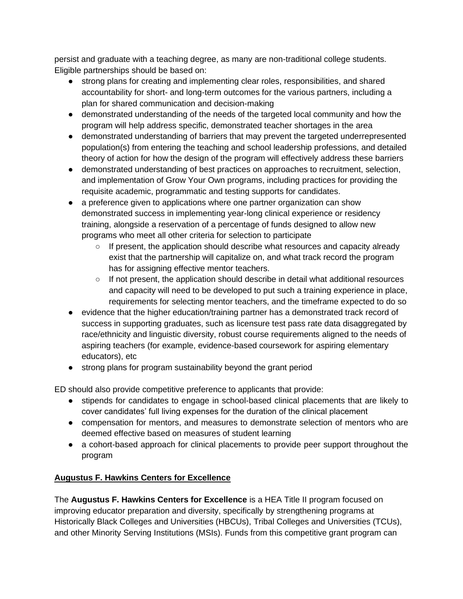persist and graduate with a teaching degree, as many are non-traditional college students. Eligible partnerships should be based on:

- strong plans for creating and implementing clear roles, responsibilities, and shared accountability for short- and long-term outcomes for the various partners, including a plan for shared communication and decision-making
- demonstrated understanding of the needs of the targeted local community and how the program will help address specific, demonstrated teacher shortages in the area
- demonstrated understanding of barriers that may prevent the targeted underrepresented population(s) from entering the teaching and school leadership professions, and detailed theory of action for how the design of the program will effectively address these barriers
- demonstrated understanding of best practices on approaches to recruitment, selection, and implementation of Grow Your Own programs, including practices for providing the requisite academic, programmatic and testing supports for candidates.
- a preference given to applications where one partner organization can show demonstrated success in implementing year-long clinical experience or residency training, alongside a reservation of a percentage of funds designed to allow new programs who meet all other criteria for selection to participate
	- If present, the application should describe what resources and capacity already exist that the partnership will capitalize on, and what track record the program has for assigning effective mentor teachers.
	- $\circ$  If not present, the application should describe in detail what additional resources and capacity will need to be developed to put such a training experience in place, requirements for selecting mentor teachers, and the timeframe expected to do so
- evidence that the higher education/training partner has a demonstrated track record of success in supporting graduates, such as licensure test pass rate data disaggregated by race/ethnicity and linguistic diversity, robust course requirements aligned to the needs of aspiring teachers (for example, evidence-based coursework for aspiring elementary educators), etc
- strong plans for program sustainability beyond the grant period

ED should also provide competitive preference to applicants that provide:

- stipends for candidates to engage in school-based clinical placements that are likely to cover candidates' full living expenses for the duration of the clinical placement
- compensation for mentors, and measures to demonstrate selection of mentors who are deemed effective based on measures of student learning
- a cohort-based approach for clinical placements to provide peer support throughout the program

## **Augustus F. Hawkins Centers for Excellence**

The **Augustus F. Hawkins Centers for Excellence** is a HEA Title II program focused on improving educator preparation and diversity, specifically by strengthening programs at Historically Black Colleges and Universities (HBCUs), Tribal Colleges and Universities (TCUs), and other Minority Serving Institutions (MSIs). Funds from this competitive grant program can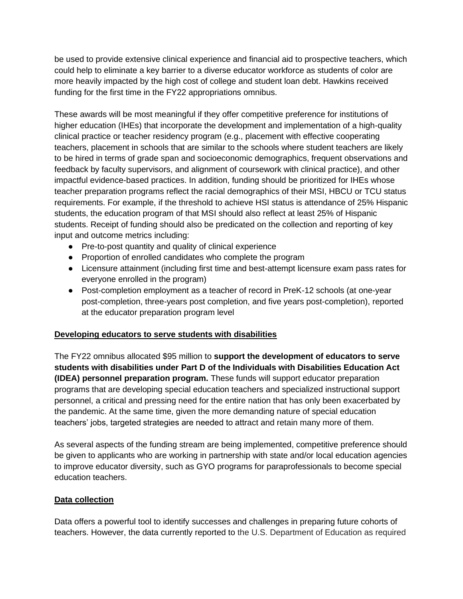be used to provide extensive clinical experience and financial aid to prospective teachers, which could help to eliminate a key barrier to a diverse educator workforce as students of color are more heavily impacted by the high cost of college and student loan debt. Hawkins received funding for the first time in the FY22 appropriations omnibus.

These awards will be most meaningful if they offer competitive preference for institutions of higher education (IHEs) that incorporate the development and implementation of a high-quality clinical practice or teacher residency program (e.g., placement with effective cooperating teachers, placement in schools that are similar to the schools where student teachers are likely to be hired in terms of grade span and socioeconomic demographics, frequent observations and feedback by faculty supervisors, and alignment of coursework with clinical practice), and other impactful evidence-based practices. In addition, funding should be prioritized for IHEs whose teacher preparation programs reflect the racial demographics of their MSI, HBCU or TCU status requirements. For example, if the threshold to achieve HSI status is attendance of 25% Hispanic students, the education program of that MSI should also reflect at least 25% of Hispanic students. Receipt of funding should also be predicated on the collection and reporting of key input and outcome metrics including:

- Pre-to-post quantity and quality of clinical experience
- Proportion of enrolled candidates who complete the program
- Licensure attainment (including first time and best-attempt licensure exam pass rates for everyone enrolled in the program)
- Post-completion employment as a teacher of record in PreK-12 schools (at one-year post-completion, three-years post completion, and five years post-completion), reported at the educator preparation program level

## **Developing educators to serve students with disabilities**

The FY22 omnibus allocated \$95 million to **support the development of educators to serve students with disabilities under Part D of the Individuals with Disabilities Education Act (IDEA) personnel preparation program.** These funds will support educator preparation programs that are developing special education teachers and specialized instructional support personnel, a critical and pressing need for the entire nation that has only been exacerbated by the pandemic. At the same time, given the more demanding nature of special education teachers' jobs, targeted strategies are needed to attract and retain many more of them.

As several aspects of the funding stream are being implemented, competitive preference should be given to applicants who are working in partnership with state and/or local education agencies to improve educator diversity, such as GYO programs for paraprofessionals to become special education teachers.

## **Data collection**

Data offers a powerful tool to identify successes and challenges in preparing future cohorts of teachers. However, the data currently reported to the U.S. Department of Education as required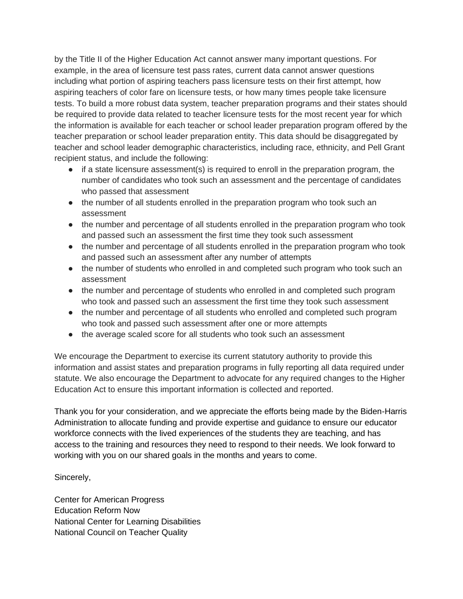by the Title II of the Higher Education Act cannot answer many important questions. For example, in the area of licensure test pass rates, current data cannot answer questions including what portion of aspiring teachers pass licensure tests on their first attempt, how aspiring teachers of color fare on licensure tests, or how many times people take licensure tests. To build a more robust data system, teacher preparation programs and their states should be required to provide data related to teacher licensure tests for the most recent year for which the information is available for each teacher or school leader preparation program offered by the teacher preparation or school leader preparation entity. This data should be disaggregated by teacher and school leader demographic characteristics, including race, ethnicity, and Pell Grant recipient status, and include the following:

- if a state licensure assessment(s) is required to enroll in the preparation program, the number of candidates who took such an assessment and the percentage of candidates who passed that assessment
- the number of all students enrolled in the preparation program who took such an assessment
- the number and percentage of all students enrolled in the preparation program who took and passed such an assessment the first time they took such assessment
- the number and percentage of all students enrolled in the preparation program who took and passed such an assessment after any number of attempts
- the number of students who enrolled in and completed such program who took such an assessment
- the number and percentage of students who enrolled in and completed such program who took and passed such an assessment the first time they took such assessment
- the number and percentage of all students who enrolled and completed such program who took and passed such assessment after one or more attempts
- the average scaled score for all students who took such an assessment

We encourage the Department to exercise its current statutory authority to provide this information and assist states and preparation programs in fully reporting all data required under statute. We also encourage the Department to advocate for any required changes to the Higher Education Act to ensure this important information is collected and reported.

Thank you for your consideration, and we appreciate the efforts being made by the Biden-Harris Administration to allocate funding and provide expertise and guidance to ensure our educator workforce connects with the lived experiences of the students they are teaching, and has access to the training and resources they need to respond to their needs. We look forward to working with you on our shared goals in the months and years to come.

Sincerely,

Center for American Progress Education Reform Now National Center for Learning Disabilities National Council on Teacher Quality